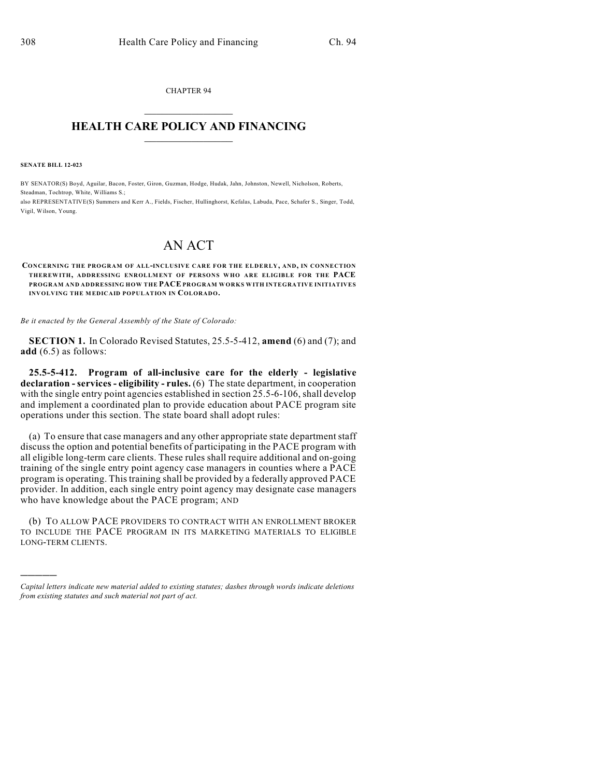CHAPTER 94  $\mathcal{L}_\text{max}$  . The set of the set of the set of the set of the set of the set of the set of the set of the set of the set of the set of the set of the set of the set of the set of the set of the set of the set of the set

## **HEALTH CARE POLICY AND FINANCING**  $\_$   $\_$   $\_$   $\_$   $\_$   $\_$   $\_$   $\_$

**SENATE BILL 12-023**

)))))

BY SENATOR(S) Boyd, Aguilar, Bacon, Foster, Giron, Guzman, Hodge, Hudak, Jahn, Johnston, Newell, Nicholson, Roberts, Steadman, Tochtrop, White, Williams S.; also REPRESENTATIVE(S) Summers and Kerr A., Fields, Fischer, Hullinghorst, Kefalas, Labuda, Pace, Schafer S., Singer, Todd,

Vigil, Wilson, Young.

## AN ACT

**CONCERNING THE PROGRAM OF ALL-INCLUSIVE CARE FOR THE ELDERLY, AND, IN CONNECTION THEREWITH, ADDRESSING ENROLLMENT OF PERSONS WHO ARE ELIGIBLE FOR THE PACE PROGRAM AND ADDRESSING HOW THE PACE PROGRAM WORKS WITH INTEGRATIVE INITIATIVES INVOLVING THE MEDICAID POPULATION IN COLORADO.**

*Be it enacted by the General Assembly of the State of Colorado:*

**SECTION 1.** In Colorado Revised Statutes, 25.5-5-412, **amend** (6) and (7); and **add** (6.5) as follows:

**25.5-5-412. Program of all-inclusive care for the elderly - legislative declaration - services - eligibility - rules.** (6) The state department, in cooperation with the single entry point agencies established in section 25.5-6-106, shall develop and implement a coordinated plan to provide education about PACE program site operations under this section. The state board shall adopt rules:

(a) To ensure that case managers and any other appropriate state department staff discuss the option and potential benefits of participating in the PACE program with all eligible long-term care clients. These rules shall require additional and on-going training of the single entry point agency case managers in counties where a PACE program is operating. This training shall be provided by a federally approved PACE provider. In addition, each single entry point agency may designate case managers who have knowledge about the PACE program; AND

(b) TO ALLOW PACE PROVIDERS TO CONTRACT WITH AN ENROLLMENT BROKER TO INCLUDE THE PACE PROGRAM IN ITS MARKETING MATERIALS TO ELIGIBLE LONG-TERM CLIENTS.

*Capital letters indicate new material added to existing statutes; dashes through words indicate deletions from existing statutes and such material not part of act.*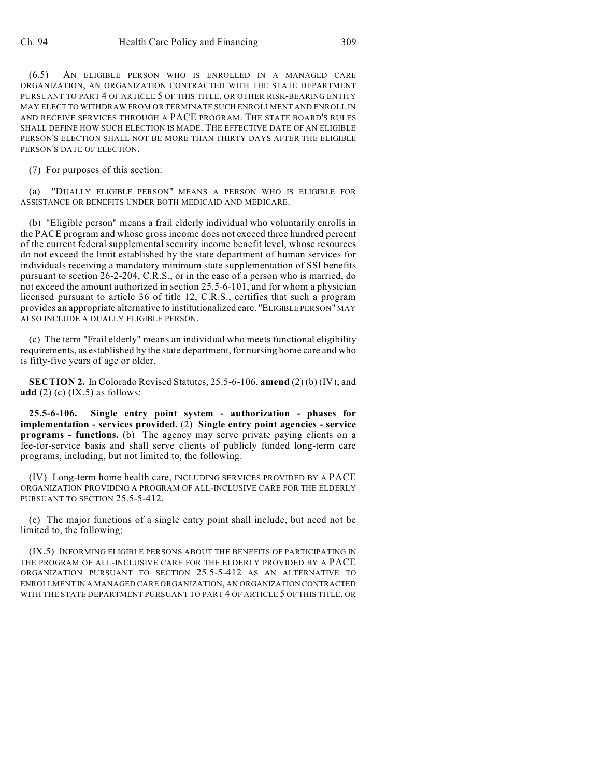(6.5) AN ELIGIBLE PERSON WHO IS ENROLLED IN A MANAGED CARE ORGANIZATION, AN ORGANIZATION CONTRACTED WITH THE STATE DEPARTMENT PURSUANT TO PART 4 OF ARTICLE 5 OF THIS TITLE, OR OTHER RISK-BEARING ENTITY MAY ELECT TO WITHDRAW FROM OR TERMINATE SUCH ENROLLMENT AND ENROLL IN AND RECEIVE SERVICES THROUGH A PACE PROGRAM. THE STATE BOARD'S RULES SHALL DEFINE HOW SUCH ELECTION IS MADE. THE EFFECTIVE DATE OF AN ELIGIBLE PERSON'S ELECTION SHALL NOT BE MORE THAN THIRTY DAYS AFTER THE ELIGIBLE PERSON'S DATE OF ELECTION.

(7) For purposes of this section:

(a) "DUALLY ELIGIBLE PERSON" MEANS A PERSON WHO IS ELIGIBLE FOR ASSISTANCE OR BENEFITS UNDER BOTH MEDICAID AND MEDICARE.

(b) "Eligible person" means a frail elderly individual who voluntarily enrolls in the PACE program and whose gross income does not exceed three hundred percent of the current federal supplemental security income benefit level, whose resources do not exceed the limit established by the state department of human services for individuals receiving a mandatory minimum state supplementation of SSI benefits pursuant to section 26-2-204, C.R.S., or in the case of a person who is married, do not exceed the amount authorized in section 25.5-6-101, and for whom a physician licensed pursuant to article 36 of title 12, C.R.S., certifies that such a program provides an appropriate alternative to institutionalized care. "ELIGIBLE PERSON" MAY ALSO INCLUDE A DUALLY ELIGIBLE PERSON.

(c) The term "Frail elderly" means an individual who meets functional eligibility requirements, as established by the state department, for nursing home care and who is fifty-five years of age or older.

**SECTION 2.** In Colorado Revised Statutes, 25.5-6-106, **amend** (2) (b) (IV); and **add** (2) (c) (IX.5) as follows:

**25.5-6-106. Single entry point system - authorization - phases for implementation - services provided.** (2) **Single entry point agencies - service programs - functions.** (b) The agency may serve private paying clients on a fee-for-service basis and shall serve clients of publicly funded long-term care programs, including, but not limited to, the following:

(IV) Long-term home health care, INCLUDING SERVICES PROVIDED BY A PACE ORGANIZATION PROVIDING A PROGRAM OF ALL-INCLUSIVE CARE FOR THE ELDERLY PURSUANT TO SECTION 25.5-5-412.

(c) The major functions of a single entry point shall include, but need not be limited to, the following:

(IX.5) INFORMING ELIGIBLE PERSONS ABOUT THE BENEFITS OF PARTICIPATING IN THE PROGRAM OF ALL-INCLUSIVE CARE FOR THE ELDERLY PROVIDED BY A PACE ORGANIZATION PURSUANT TO SECTION 25.5-5-412 AS AN ALTERNATIVE TO ENROLLMENT IN A MANAGED CARE ORGANIZATION, AN ORGANIZATION CONTRACTED WITH THE STATE DEPARTMENT PURSUANT TO PART 4 OF ARTICLE 5 OF THIS TITLE, OR